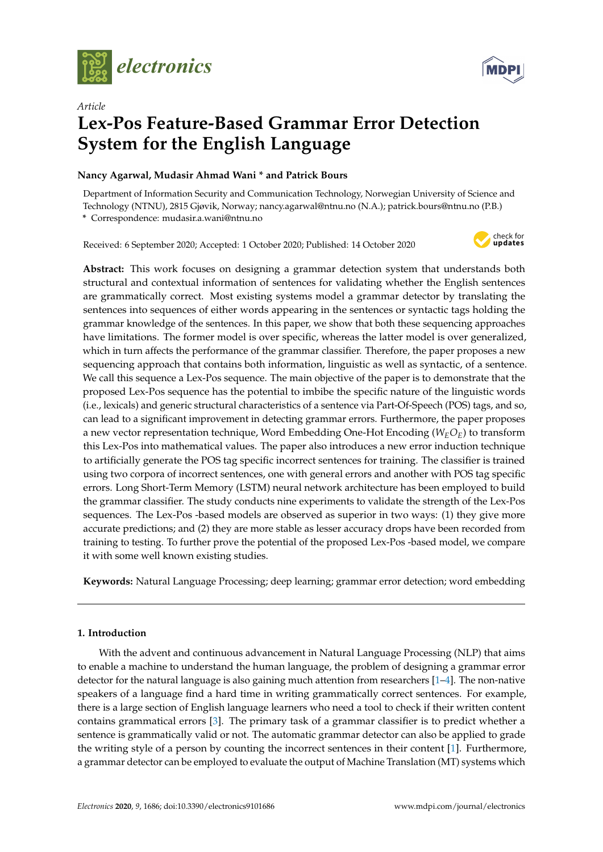



# *Article* **Lex-Pos Feature-Based Grammar Error Detection System for the English Language**

# **Nancy Agarwal, Mudasir Ahmad Wani \* and Patrick Bours**

Department of Information Security and Communication Technology, Norwegian University of Science and Technology (NTNU), 2815 Gjøvik, Norway; nancy.agarwal@ntnu.no (N.A.); patrick.bours@ntnu.no (P.B.)

**\*** Correspondence: mudasir.a.wani@ntnu.no

Received: 6 September 2020; Accepted: 1 October 2020; Published: 14 October 2020



**Abstract:** This work focuses on designing a grammar detection system that understands both structural and contextual information of sentences for validating whether the English sentences are grammatically correct. Most existing systems model a grammar detector by translating the sentences into sequences of either words appearing in the sentences or syntactic tags holding the grammar knowledge of the sentences. In this paper, we show that both these sequencing approaches have limitations. The former model is over specific, whereas the latter model is over generalized, which in turn affects the performance of the grammar classifier. Therefore, the paper proposes a new sequencing approach that contains both information, linguistic as well as syntactic, of a sentence. We call this sequence a Lex-Pos sequence. The main objective of the paper is to demonstrate that the proposed Lex-Pos sequence has the potential to imbibe the specific nature of the linguistic words (i.e., lexicals) and generic structural characteristics of a sentence via Part-Of-Speech (POS) tags, and so, can lead to a significant improvement in detecting grammar errors. Furthermore, the paper proposes a new vector representation technique, Word Embedding One-Hot Encoding (*WEOE*) to transform this Lex-Pos into mathematical values. The paper also introduces a new error induction technique to artificially generate the POS tag specific incorrect sentences for training. The classifier is trained using two corpora of incorrect sentences, one with general errors and another with POS tag specific errors. Long Short-Term Memory (LSTM) neural network architecture has been employed to build the grammar classifier. The study conducts nine experiments to validate the strength of the Lex-Pos sequences. The Lex-Pos -based models are observed as superior in two ways: (1) they give more accurate predictions; and (2) they are more stable as lesser accuracy drops have been recorded from training to testing. To further prove the potential of the proposed Lex-Pos -based model, we compare it with some well known existing studies.

**Keywords:** Natural Language Processing; deep learning; grammar error detection; word embedding

## **1. Introduction**

With the advent and continuous advancement in Natural Language Processing (NLP) that aims to enable a machine to understand the human language, the problem of designing a grammar error detector for the natural language is also gaining much attention from researchers [\[1–](#page-15-0)[4\]](#page-15-1). The non-native speakers of a language find a hard time in writing grammatically correct sentences. For example, there is a large section of English language learners who need a tool to check if their written content contains grammatical errors [\[3\]](#page-15-2). The primary task of a grammar classifier is to predict whether a sentence is grammatically valid or not. The automatic grammar detector can also be applied to grade the writing style of a person by counting the incorrect sentences in their content [\[1\]](#page-15-0). Furthermore, a grammar detector can be employed to evaluate the output of Machine Translation (MT) systems which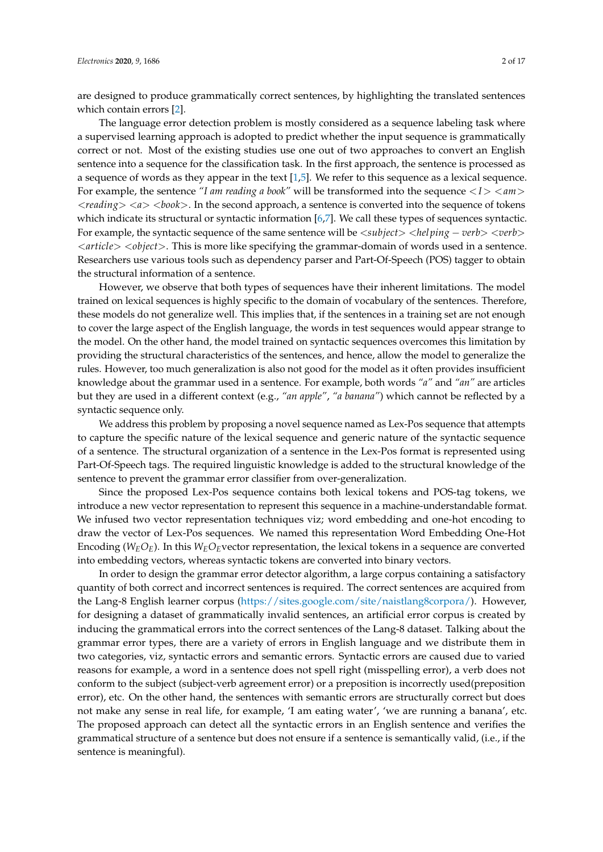are designed to produce grammatically correct sentences, by highlighting the translated sentences which contain errors [\[2\]](#page-15-3).

The language error detection problem is mostly considered as a sequence labeling task where a supervised learning approach is adopted to predict whether the input sequence is grammatically correct or not. Most of the existing studies use one out of two approaches to convert an English sentence into a sequence for the classification task. In the first approach, the sentence is processed as a sequence of words as they appear in the text [\[1,](#page-15-0)[5\]](#page-16-0). We refer to this sequence as a lexical sequence. For example, the sentence *"I am reading a book"* will be transformed into the sequence <*I*> <*am*> <*reading*> <*a*> <*book*>. In the second approach, a sentence is converted into the sequence of tokens which indicate its structural or syntactic information [\[6,](#page-16-1)[7\]](#page-16-2). We call these types of sequences syntactic. For example, the syntactic sequence of the same sentence will be <*subject*> <*hel ping* − *verb*> <*verb*> <*article*> <*object*>. This is more like specifying the grammar-domain of words used in a sentence. Researchers use various tools such as dependency parser and Part-Of-Speech (POS) tagger to obtain the structural information of a sentence.

However, we observe that both types of sequences have their inherent limitations. The model trained on lexical sequences is highly specific to the domain of vocabulary of the sentences. Therefore, these models do not generalize well. This implies that, if the sentences in a training set are not enough to cover the large aspect of the English language, the words in test sequences would appear strange to the model. On the other hand, the model trained on syntactic sequences overcomes this limitation by providing the structural characteristics of the sentences, and hence, allow the model to generalize the rules. However, too much generalization is also not good for the model as it often provides insufficient knowledge about the grammar used in a sentence. For example, both words *"a"* and *"an"* are articles but they are used in a different context (e.g., *"an apple"*, *"a banana"*) which cannot be reflected by a syntactic sequence only.

We address this problem by proposing a novel sequence named as Lex-Pos sequence that attempts to capture the specific nature of the lexical sequence and generic nature of the syntactic sequence of a sentence. The structural organization of a sentence in the Lex-Pos format is represented using Part-Of-Speech tags. The required linguistic knowledge is added to the structural knowledge of the sentence to prevent the grammar error classifier from over-generalization.

Since the proposed Lex-Pos sequence contains both lexical tokens and POS-tag tokens, we introduce a new vector representation to represent this sequence in a machine-understandable format. We infused two vector representation techniques viz; word embedding and one-hot encoding to draw the vector of Lex-Pos sequences. We named this representation Word Embedding One-Hot Encoding ( $W_EO_E$ ). In this  $W_EO_E$  vector representation, the lexical tokens in a sequence are converted into embedding vectors, whereas syntactic tokens are converted into binary vectors.

In order to design the grammar error detector algorithm, a large corpus containing a satisfactory quantity of both correct and incorrect sentences is required. The correct sentences are acquired from the Lang-8 English learner corpus [\(https://sites.google.com/site/naistlang8corpora/\)](https://sites.google.com/site/naistlang8corpora/). However, for designing a dataset of grammatically invalid sentences, an artificial error corpus is created by inducing the grammatical errors into the correct sentences of the Lang-8 dataset. Talking about the grammar error types, there are a variety of errors in English language and we distribute them in two categories, viz, syntactic errors and semantic errors. Syntactic errors are caused due to varied reasons for example, a word in a sentence does not spell right (misspelling error), a verb does not conform to the subject (subject-verb agreement error) or a preposition is incorrectly used(preposition error), etc. On the other hand, the sentences with semantic errors are structurally correct but does not make any sense in real life, for example, 'I am eating water', 'we are running a banana', etc. The proposed approach can detect all the syntactic errors in an English sentence and verifies the grammatical structure of a sentence but does not ensure if a sentence is semantically valid, (i.e., if the sentence is meaningful).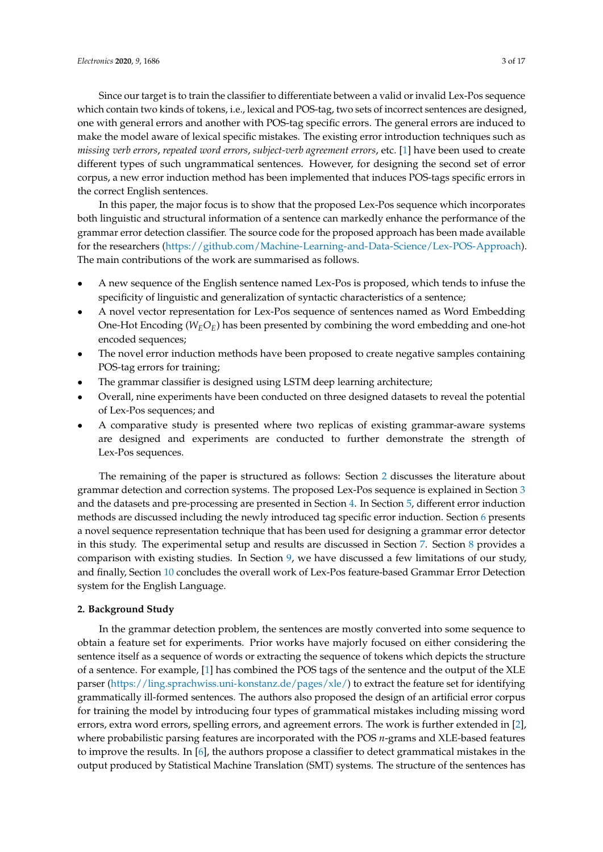Since our target is to train the classifier to differentiate between a valid or invalid Lex-Pos sequence which contain two kinds of tokens, i.e., lexical and POS-tag, two sets of incorrect sentences are designed, one with general errors and another with POS-tag specific errors. The general errors are induced to make the model aware of lexical specific mistakes. The existing error introduction techniques such as *missing verb errors*, *repeated word errors*, *subject-verb agreement errors*, etc. [\[1\]](#page-15-0) have been used to create different types of such ungrammatical sentences. However, for designing the second set of error corpus, a new error induction method has been implemented that induces POS-tags specific errors in the correct English sentences.

In this paper, the major focus is to show that the proposed Lex-Pos sequence which incorporates both linguistic and structural information of a sentence can markedly enhance the performance of the grammar error detection classifier. The source code for the proposed approach has been made available for the researchers [\(https://github.com/Machine-Learning-and-Data-Science/Lex-POS-Approach\)](https://github.com/Machine-Learning-and-Data-Science/Lex-POS-Approach). The main contributions of the work are summarised as follows.

- A new sequence of the English sentence named Lex-Pos is proposed, which tends to infuse the specificity of linguistic and generalization of syntactic characteristics of a sentence;
- A novel vector representation for Lex-Pos sequence of sentences named as Word Embedding One-Hot Encoding (*WEOE*) has been presented by combining the word embedding and one-hot encoded sequences;
- The novel error induction methods have been proposed to create negative samples containing POS-tag errors for training;
- The grammar classifier is designed using LSTM deep learning architecture;
- Overall, nine experiments have been conducted on three designed datasets to reveal the potential of Lex-Pos sequences; and
- A comparative study is presented where two replicas of existing grammar-aware systems are designed and experiments are conducted to further demonstrate the strength of Lex-Pos sequences.

The remaining of the paper is structured as follows: Section [2](#page-2-0) discusses the literature about grammar detection and correction systems. The proposed Lex-Pos sequence is explained in Section [3](#page-3-0) and the datasets and pre-processing are presented in Section [4.](#page-6-0) In Section [5,](#page-6-1) different error induction methods are discussed including the newly introduced tag specific error induction. Section [6](#page-8-0) presents a novel sequence representation technique that has been used for designing a grammar error detector in this study. The experimental setup and results are discussed in Section [7.](#page-9-0) Section [8](#page-11-0) provides a comparison with existing studies. In Section [9,](#page-14-0) we have discussed a few limitations of our study, and finally, Section [10](#page-15-4) concludes the overall work of Lex-Pos feature-based Grammar Error Detection system for the English Language.

## <span id="page-2-0"></span>**2. Background Study**

In the grammar detection problem, the sentences are mostly converted into some sequence to obtain a feature set for experiments. Prior works have majorly focused on either considering the sentence itself as a sequence of words or extracting the sequence of tokens which depicts the structure of a sentence. For example, [\[1\]](#page-15-0) has combined the POS tags of the sentence and the output of the XLE parser [\(https://ling.sprachwiss.uni-konstanz.de/pages/xle/\)](https://ling.sprachwiss.uni-konstanz.de/pages/xle/) to extract the feature set for identifying grammatically ill-formed sentences. The authors also proposed the design of an artificial error corpus for training the model by introducing four types of grammatical mistakes including missing word errors, extra word errors, spelling errors, and agreement errors. The work is further extended in [\[2\]](#page-15-3), where probabilistic parsing features are incorporated with the POS *n*-grams and XLE-based features to improve the results. In [\[6\]](#page-16-1), the authors propose a classifier to detect grammatical mistakes in the output produced by Statistical Machine Translation (SMT) systems. The structure of the sentences has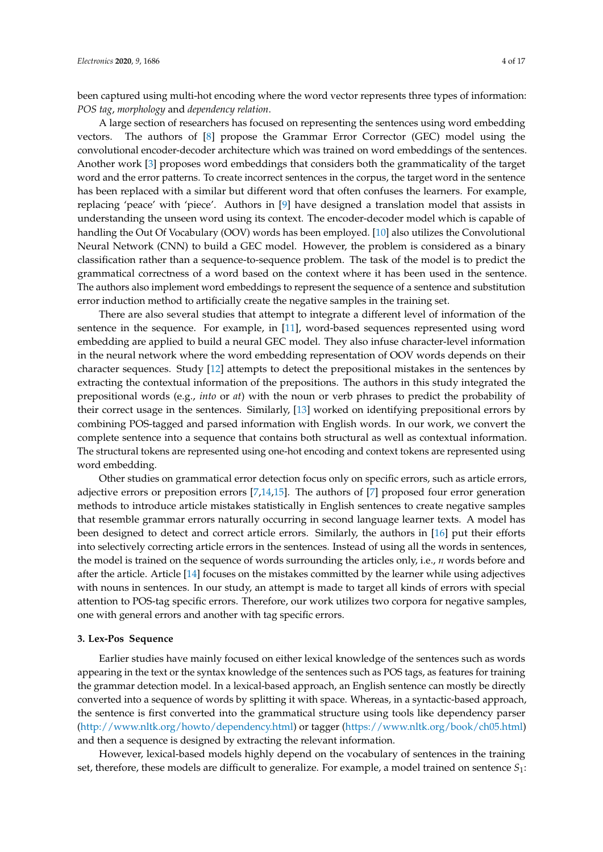been captured using multi-hot encoding where the word vector represents three types of information: *POS tag*, *morphology* and *dependency relation*.

A large section of researchers has focused on representing the sentences using word embedding vectors. The authors of [\[8\]](#page-16-3) propose the Grammar Error Corrector (GEC) model using the convolutional encoder-decoder architecture which was trained on word embeddings of the sentences. Another work [\[3\]](#page-15-2) proposes word embeddings that considers both the grammaticality of the target word and the error patterns. To create incorrect sentences in the corpus, the target word in the sentence has been replaced with a similar but different word that often confuses the learners. For example, replacing 'peace' with 'piece'. Authors in [\[9\]](#page-16-4) have designed a translation model that assists in understanding the unseen word using its context. The encoder-decoder model which is capable of handling the Out Of Vocabulary (OOV) words has been employed. [\[10\]](#page-16-5) also utilizes the Convolutional Neural Network (CNN) to build a GEC model. However, the problem is considered as a binary classification rather than a sequence-to-sequence problem. The task of the model is to predict the grammatical correctness of a word based on the context where it has been used in the sentence. The authors also implement word embeddings to represent the sequence of a sentence and substitution error induction method to artificially create the negative samples in the training set.

There are also several studies that attempt to integrate a different level of information of the sentence in the sequence. For example, in [\[11\]](#page-16-6), word-based sequences represented using word embedding are applied to build a neural GEC model. They also infuse character-level information in the neural network where the word embedding representation of OOV words depends on their character sequences. Study [\[12\]](#page-16-7) attempts to detect the prepositional mistakes in the sentences by extracting the contextual information of the prepositions. The authors in this study integrated the prepositional words (e.g., *into* or *at*) with the noun or verb phrases to predict the probability of their correct usage in the sentences. Similarly, [\[13\]](#page-16-8) worked on identifying prepositional errors by combining POS-tagged and parsed information with English words. In our work, we convert the complete sentence into a sequence that contains both structural as well as contextual information. The structural tokens are represented using one-hot encoding and context tokens are represented using word embedding.

Other studies on grammatical error detection focus only on specific errors, such as article errors, adjective errors or preposition errors [\[7](#page-16-2)[,14](#page-16-9)[,15\]](#page-16-10). The authors of [\[7\]](#page-16-2) proposed four error generation methods to introduce article mistakes statistically in English sentences to create negative samples that resemble grammar errors naturally occurring in second language learner texts. A model has been designed to detect and correct article errors. Similarly, the authors in [\[16\]](#page-16-11) put their efforts into selectively correcting article errors in the sentences. Instead of using all the words in sentences, the model is trained on the sequence of words surrounding the articles only, i.e., *n* words before and after the article. Article [\[14\]](#page-16-9) focuses on the mistakes committed by the learner while using adjectives with nouns in sentences. In our study, an attempt is made to target all kinds of errors with special attention to POS-tag specific errors. Therefore, our work utilizes two corpora for negative samples, one with general errors and another with tag specific errors.

## <span id="page-3-0"></span>**3. Lex-Pos Sequence**

Earlier studies have mainly focused on either lexical knowledge of the sentences such as words appearing in the text or the syntax knowledge of the sentences such as POS tags, as features for training the grammar detection model. In a lexical-based approach, an English sentence can mostly be directly converted into a sequence of words by splitting it with space. Whereas, in a syntactic-based approach, the sentence is first converted into the grammatical structure using tools like dependency parser [\(http://www.nltk.org/howto/dependency.html\)](http://www.nltk.org/howto/dependency.html) or tagger [\(https://www.nltk.org/book/ch05.html\)](https://www.nltk.org/book/ch05.html) and then a sequence is designed by extracting the relevant information.

However, lexical-based models highly depend on the vocabulary of sentences in the training set, therefore, these models are difficult to generalize. For example, a model trained on sentence *S*1: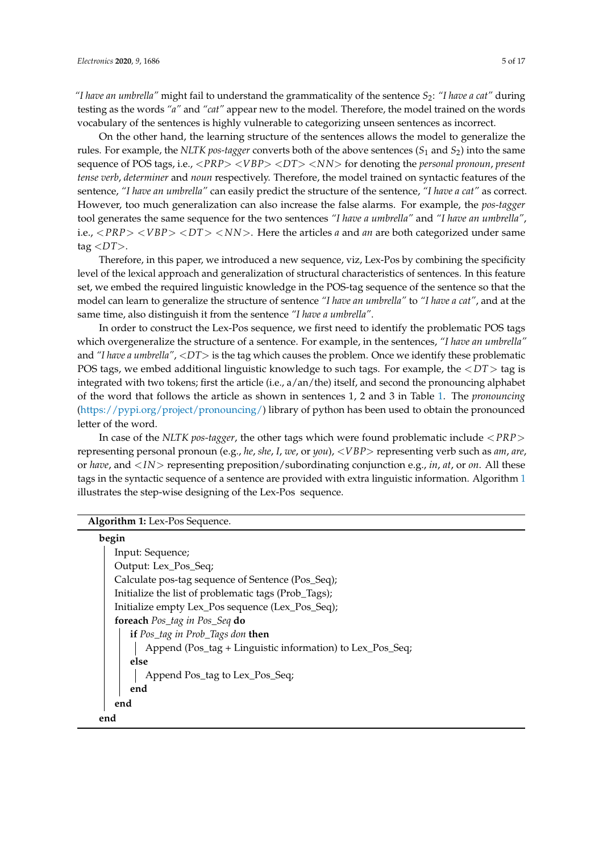*"I have an umbrella"* might fail to understand the grammaticality of the sentence *S*2: *"I have a cat"* during testing as the words *"a"* and *"cat"* appear new to the model. Therefore, the model trained on the words vocabulary of the sentences is highly vulnerable to categorizing unseen sentences as incorrect.

On the other hand, the learning structure of the sentences allows the model to generalize the rules. For example, the *NLTK pos-tagger* converts both of the above sentences (*S*<sup>1</sup> and *S*2) into the same sequence of POS tags, i.e., <*PRP*> <*VBP*> <*DT*> <*NN*> for denoting the *personal pronoun*, *present tense verb*, *determiner* and *noun* respectively. Therefore, the model trained on syntactic features of the sentence, *"I have an umbrella"* can easily predict the structure of the sentence, *"I have a cat"* as correct. However, too much generalization can also increase the false alarms. For example, the *pos-tagger* tool generates the same sequence for the two sentences *"I have a umbrella"* and *"I have an umbrella"*, i.e., <*PRP*> <*VBP*> <*DT*> <*NN*>. Here the articles *a* and *an* are both categorized under same tag  $\langle DT \rangle$ .

Therefore, in this paper, we introduced a new sequence, viz, Lex-Pos by combining the specificity level of the lexical approach and generalization of structural characteristics of sentences. In this feature set, we embed the required linguistic knowledge in the POS-tag sequence of the sentence so that the model can learn to generalize the structure of sentence *"I have an umbrella"* to *"I have a cat"*, and at the same time, also distinguish it from the sentence *"I have a umbrella"*.

In order to construct the Lex-Pos sequence, we first need to identify the problematic POS tags which overgeneralize the structure of a sentence. For example, in the sentences, *"I have an umbrella"* and *"I have a umbrella"*, <*DT*> is the tag which causes the problem. Once we identify these problematic POS tags, we embed additional linguistic knowledge to such tags. For example, the <*DT*> tag is integrated with two tokens; first the article (i.e., a/an/the) itself, and second the pronouncing alphabet of the word that follows the article as shown in sentences 1, 2 and 3 in Table [1.](#page-5-0) The *pronouncing* [\(https://pypi.org/project/pronouncing/\)](https://pypi.org/project/pronouncing/) library of python has been used to obtain the pronounced letter of the word.

In case of the *NLTK pos-tagger*, the other tags which were found problematic include <*PRP*> representing personal pronoun (e.g., *he*, *she*, *I*, *we*, or *you*), <*VBP*> representing verb such as *am*, *are*, or *have*, and <*IN*> representing preposition/subordinating conjunction e.g., *in*, *at*, or *on*. All these tags in the syntactic sequence of a sentence are provided with extra linguistic information. Algorithm [1](#page-4-0) illustrates the step-wise designing of the Lex-Pos sequence.

#### <span id="page-4-0"></span>**Algorithm 1:** Lex-Pos Sequence.

#### **begin**

Input: Sequence; Output: Lex\_Pos\_Seq; Calculate pos-tag sequence of Sentence (Pos\_Seq); Initialize the list of problematic tags (Prob\_Tags); Initialize empty Lex\_Pos sequence (Lex\_Pos\_Seq); **foreach** *Pos\_tag in Pos\_Seq* **do if** *Pos\_tag in Prob\_Tags don* **then** Append (Pos\_tag + Linguistic information) to Lex\_Pos\_Seq; **else** Append Pos tag to Lex Pos Seq; **end end end**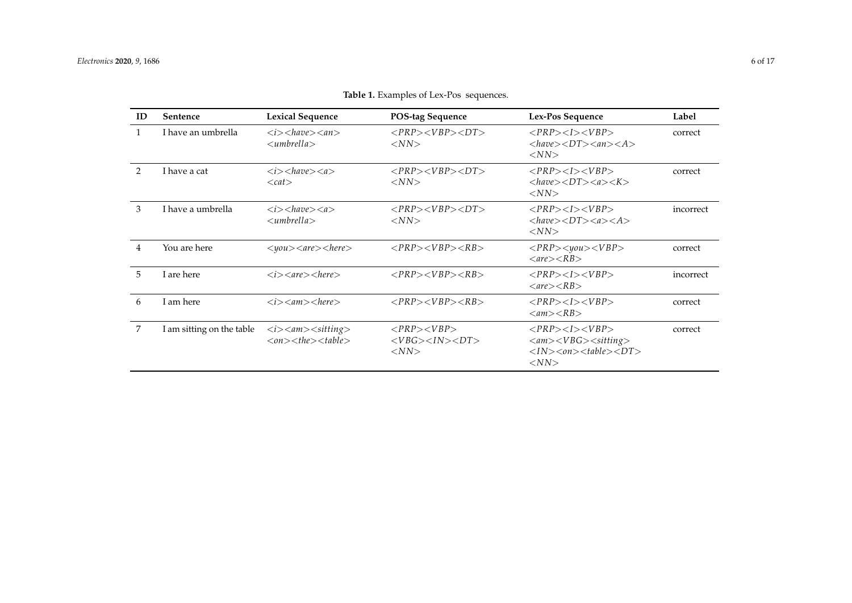<span id="page-5-0"></span>

| ID           | <b>Sentence</b>           | <b>Lexical Sequence</b>                                                                                                              | POS-tag Sequence                                                  | Lex-Pos Sequence                                                                                                                                                                        | Label     |
|--------------|---------------------------|--------------------------------------------------------------------------------------------------------------------------------------|-------------------------------------------------------------------|-----------------------------------------------------------------------------------------------------------------------------------------------------------------------------------------|-----------|
| $\mathbf{1}$ | I have an umbrella        | $>an$<br>$\langle$ umbrella $\rangle$                                                                                                | $<$ PRP> $<$ VBP> $<$ DT><br>$<$ NN $>$                           | $<$ PRP> $<$ I> $<$ VBP><br>$\langle \textit{have} \rangle \langle \textit{DT} \rangle \langle \textit{an} \rangle \langle \textit{A} \rangle$<br>$<\!\!NN\!\!>$                        | correct   |
| 2            | I have a cat              | $>have><a>$<br>$\langle cat\rangle$                                                                                                  | $<$ PRP> $<$ VBP> $<$ DT><br>$<$ NN $>$                           | $<$ PRP> $<$ I> $<$ VBP><br>$\langle \text{have} \rangle \langle \text{DT} \rangle \langle \text{a} \rangle \langle \text{K} \rangle$<br>$\langle N N \rangle$                          | correct   |
| 3            | I have a umbrella         | $>have>a>$<br>$\langle$ umbrella $\rangle$                                                                                           | $<$ PRP> $<$ VBP> $<$ DT><br>$<$ NN $>$                           | $<$ PRP> $<$ I> $<$ VBP><br>$\langle \text{have} \rangle \langle \text{DT} \rangle \langle \text{a} \rangle \langle \text{A} \rangle$<br>$<$ NN $>$                                     | incorrect |
| 4            | You are here              | $<\!\!\mathit{you}\!\!><\!\!\mathit{are}\!\!><\!\!\mathit{here}\!\!>$                                                                | $<$ PRP> $<$ VBP> $<$ RB>                                         | $<$ PRP> $<$ you> $<$ VBP><br>$\langle$ are $>\langle RB \rangle$                                                                                                                       | correct   |
| 5            | I are here                | $>care>>here>$                                                                                                                       | $<$ PRP> $<$ VBP> $<$ RB>                                         | $<$ PRP> $<$ I> $<$ VBP><br>$\langle$ are $>\langle RB \rangle$                                                                                                                         | incorrect |
| 6            | I am here                 | $1 5 5 5 5 6 6 7 7 8 8 9 9 1 9 9 1 9 9 19 9 19 9 19 9 19 19 9 19 19 1$                                                               | $<$ PRP $>>$ VBP $>>$ RB $>$                                      | $<$ PRP $>>$ I $>>$ VBP $>$<br>$\langle am \rangle \langle RB \rangle$                                                                                                                  | correct   |
| 7            | I am sitting on the table | $\langle i \rangle$ $\langle am \rangle$ $\langle sitting \rangle$<br>$\langle on \rangle \langle the \rangle \langle table \rangle$ | $<$ PRP $>$ $<$ VBP $>$<br>$<$ VBG> $<$ IN> $<$ DT><br>$<$ NN $>$ | $<$ PRP> $<$ I> $<$ VBP><br>$\langle am \rangle \langle VBG \rangle \langle sitting \rangle$<br>$<\!\!IN\!\!><\!\!on\!\!><\!\!table\!\!><\!\!D\mathrm{T}\!\!>$<br>$\langle N N \rangle$ | correct   |

**Table 1.** Examples of Lex-Pos sequences.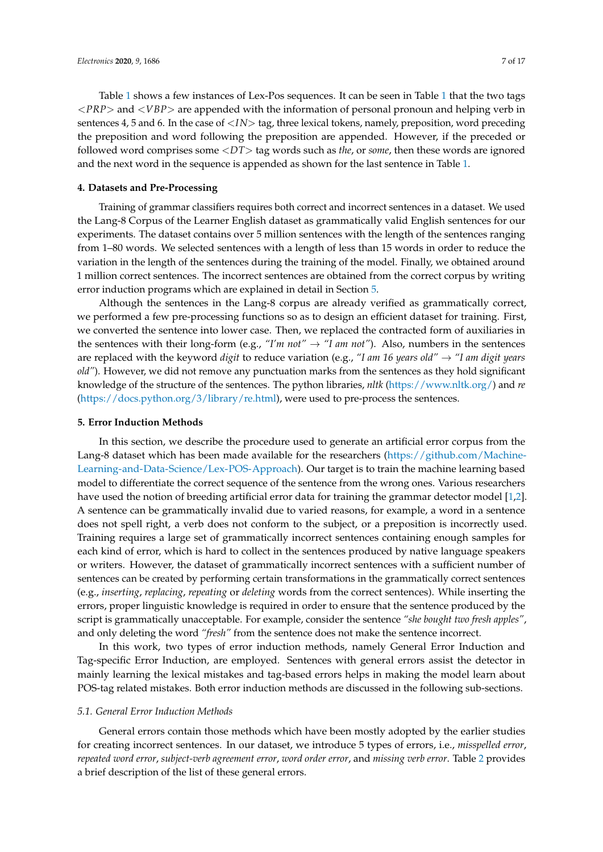Table [1](#page-5-0) shows a few instances of Lex-Pos sequences. It can be seen in Table [1](#page-5-0) that the two tags <*PRP*> and <*VBP*> are appended with the information of personal pronoun and helping verb in sentences 4, 5 and 6. In the case of <*IN*> tag, three lexical tokens, namely, preposition, word preceding the preposition and word following the preposition are appended. However, if the preceded or followed word comprises some <*DT*> tag words such as *the*, or *some*, then these words are ignored and the next word in the sequence is appended as shown for the last sentence in Table [1.](#page-5-0)

## <span id="page-6-0"></span>**4. Datasets and Pre-Processing**

Training of grammar classifiers requires both correct and incorrect sentences in a dataset. We used the Lang-8 Corpus of the Learner English dataset as grammatically valid English sentences for our experiments. The dataset contains over 5 million sentences with the length of the sentences ranging from 1–80 words. We selected sentences with a length of less than 15 words in order to reduce the variation in the length of the sentences during the training of the model. Finally, we obtained around 1 million correct sentences. The incorrect sentences are obtained from the correct corpus by writing error induction programs which are explained in detail in Section [5.](#page-6-1)

Although the sentences in the Lang-8 corpus are already verified as grammatically correct, we performed a few pre-processing functions so as to design an efficient dataset for training. First, we converted the sentence into lower case. Then, we replaced the contracted form of auxiliaries in the sentences with their long-form (e.g.,  $T/m$  not"  $\rightarrow$  "I am not"). Also, numbers in the sentences are replaced with the keyword *digit* to reduce variation (e.g., *"I am 16 years old"* → *"I am digit years old"*). However, we did not remove any punctuation marks from the sentences as they hold significant knowledge of the structure of the sentences. The python libraries, *nltk* [\(https://www.nltk.org/\)](https://www.nltk.org/) and *re* [\(https://docs.python.org/3/library/re.html\)](https://docs.python.org/3/library/re.html), were used to pre-process the sentences.

## <span id="page-6-1"></span>**5. Error Induction Methods**

In this section, we describe the procedure used to generate an artificial error corpus from the Lang-8 dataset which has been made available for the researchers [\(https://github.com/Machine-](https://github.com/Machine-Learning-and-Data-Science/Lex-POS-Approach)[Learning-and-Data-Science/Lex-POS-Approach\)](https://github.com/Machine-Learning-and-Data-Science/Lex-POS-Approach). Our target is to train the machine learning based model to differentiate the correct sequence of the sentence from the wrong ones. Various researchers have used the notion of breeding artificial error data for training the grammar detector model [\[1,](#page-15-0)[2\]](#page-15-3). A sentence can be grammatically invalid due to varied reasons, for example, a word in a sentence does not spell right, a verb does not conform to the subject, or a preposition is incorrectly used. Training requires a large set of grammatically incorrect sentences containing enough samples for each kind of error, which is hard to collect in the sentences produced by native language speakers or writers. However, the dataset of grammatically incorrect sentences with a sufficient number of sentences can be created by performing certain transformations in the grammatically correct sentences (e.g., *inserting*, *replacing*, *repeating* or *deleting* words from the correct sentences). While inserting the errors, proper linguistic knowledge is required in order to ensure that the sentence produced by the script is grammatically unacceptable. For example, consider the sentence *"she bought two fresh apples"*, and only deleting the word *"fresh"* from the sentence does not make the sentence incorrect.

In this work, two types of error induction methods, namely General Error Induction and Tag-specific Error Induction, are employed. Sentences with general errors assist the detector in mainly learning the lexical mistakes and tag-based errors helps in making the model learn about POS-tag related mistakes. Both error induction methods are discussed in the following sub-sections.

## *5.1. General Error Induction Methods*

General errors contain those methods which have been mostly adopted by the earlier studies for creating incorrect sentences. In our dataset, we introduce 5 types of errors, i.e., *misspelled error*, *repeated word error*, *subject-verb agreement error*, *word order error*, and *missing verb error*. Table [2](#page-7-0) provides a brief description of the list of these general errors.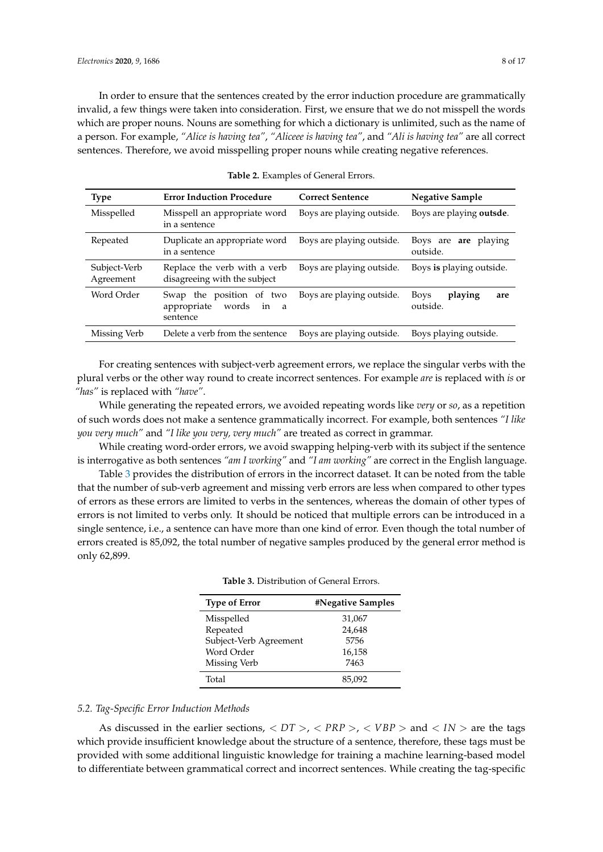In order to ensure that the sentences created by the error induction procedure are grammatically invalid, a few things were taken into consideration. First, we ensure that we do not misspell the words which are proper nouns. Nouns are something for which a dictionary is unlimited, such as the name of a person. For example, *"Alice is having tea"*, *"Aliceee is having tea"*, and *"Ali is having tea"* are all correct sentences. Therefore, we avoid misspelling proper nouns while creating negative references.

<span id="page-7-0"></span>

| <b>Type</b>               | <b>Error Induction Procedure</b>                                     | <b>Correct Sentence</b>   | <b>Negative Sample</b>                  |  |
|---------------------------|----------------------------------------------------------------------|---------------------------|-----------------------------------------|--|
| Misspelled                | Misspell an appropriate word<br>in a sentence                        | Boys are playing outside. | Boys are playing outsde.                |  |
| Repeated                  | Duplicate an appropriate word<br>in a sentence                       | Boys are playing outside. | Boys are <b>are</b> playing<br>outside. |  |
| Subject-Verb<br>Agreement | Replace the verb with a verb<br>disagreeing with the subject         | Boys are playing outside. | Boys is playing outside.                |  |
| Word Order                | Swap the position of two<br>words<br>appropriate<br>in a<br>sentence | Boys are playing outside. | Boys<br>playing<br>are<br>outside.      |  |
| Missing Verb              | Delete a verb from the sentence                                      | Boys are playing outside. | Boys playing outside.                   |  |

**Table 2.** Examples of General Errors.

For creating sentences with subject-verb agreement errors, we replace the singular verbs with the plural verbs or the other way round to create incorrect sentences. For example *are* is replaced with *is* or *"has"* is replaced with *"have"*.

While generating the repeated errors, we avoided repeating words like *very* or *so*, as a repetition of such words does not make a sentence grammatically incorrect. For example, both sentences *"I like you very much"* and *"I like you very, very much"* are treated as correct in grammar.

While creating word-order errors, we avoid swapping helping-verb with its subject if the sentence is interrogative as both sentences *"am I working"* and *"I am working"* are correct in the English language.

<span id="page-7-1"></span>Table [3](#page-7-1) provides the distribution of errors in the incorrect dataset. It can be noted from the table that the number of sub-verb agreement and missing verb errors are less when compared to other types of errors as these errors are limited to verbs in the sentences, whereas the domain of other types of errors is not limited to verbs only. It should be noticed that multiple errors can be introduced in a single sentence, i.e., a sentence can have more than one kind of error. Even though the total number of errors created is 85,092, the total number of negative samples produced by the general error method is only 62,899.

| <b>Type of Error</b>   | <b>#Negative Samples</b> |
|------------------------|--------------------------|
| Misspelled             | 31,067                   |
| Repeated               | 24,648                   |
| Subject-Verb Agreement | 5756                     |
| Word Order             | 16,158                   |
| Missing Verb           | 7463                     |
| Total                  | 85.092                   |

**Table 3.** Distribution of General Errors.

#### *5.2. Tag-Specific Error Induction Methods*

As discussed in the earlier sections,  $\langle DT \rangle$ ,  $\langle PRP \rangle$ ,  $\langle VBP \rangle$  and  $\langle IN \rangle$  are the tags which provide insufficient knowledge about the structure of a sentence, therefore, these tags must be provided with some additional linguistic knowledge for training a machine learning-based model to differentiate between grammatical correct and incorrect sentences. While creating the tag-specific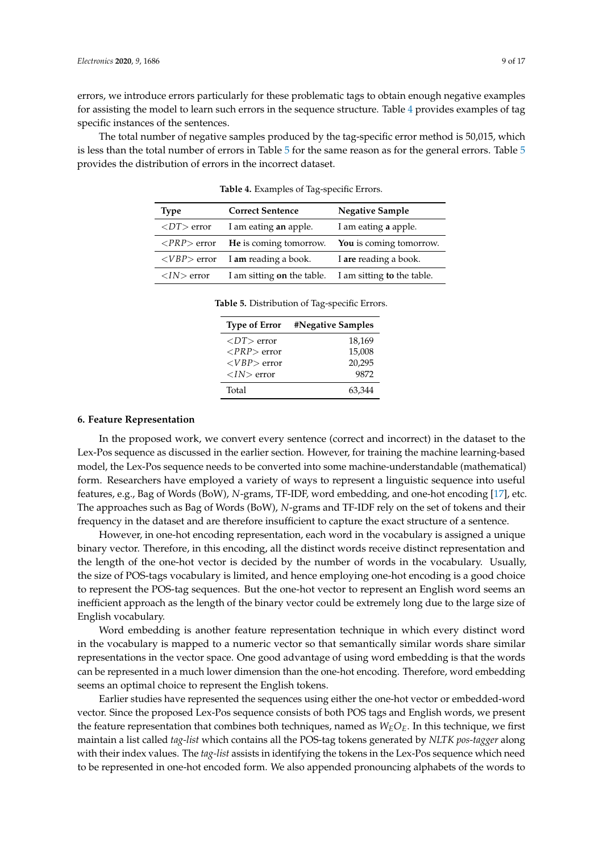errors, we introduce errors particularly for these problematic tags to obtain enough negative examples for assisting the model to learn such errors in the sequence structure. Table [4](#page-8-1) provides examples of tag specific instances of the sentences.

<span id="page-8-1"></span>The total number of negative samples produced by the tag-specific error method is 50,015, which is less than the total number of errors in Table [5](#page-8-2) for the same reason as for the general errors. Table [5](#page-8-2) provides the distribution of errors in the incorrect dataset.

<span id="page-8-2"></span>

| <b>Type</b>                | <b>Correct Sentence</b>                                   | <b>Negative Sample</b>  |
|----------------------------|-----------------------------------------------------------|-------------------------|
| $\langle DT \rangle$ error | I am eating an apple.                                     | I am eating a apple.    |
|                            | $\langle PRP \rangle$ error <b>He</b> is coming tomorrow. | You is coming tomorrow. |
|                            | $\langle VBP \rangle$ error I am reading a book.          | I are reading a book.   |
| $\langle IN\rangle$ error  | I am sitting on the table. I am sitting to the table.     |                         |

**Table 4.** Examples of Tag-specific Errors.

|  | Table 5. Distribution of Tag-specific Errors. |  |  |  |
|--|-----------------------------------------------|--|--|--|
|--|-----------------------------------------------|--|--|--|

| <b>Type of Error</b>        | #Negative Samples |
|-----------------------------|-------------------|
| $\langle DT \rangle$ error  | 18,169            |
| $\langle PRP\rangle$ error  | 15,008            |
| $\langle VBP \rangle$ error | 20,295            |
| $\langle IN \rangle$ error  | 9872              |
| Total                       | 63.344            |

#### <span id="page-8-0"></span>**6. Feature Representation**

In the proposed work, we convert every sentence (correct and incorrect) in the dataset to the Lex-Pos sequence as discussed in the earlier section. However, for training the machine learning-based model, the Lex-Pos sequence needs to be converted into some machine-understandable (mathematical) form. Researchers have employed a variety of ways to represent a linguistic sequence into useful features, e.g., Bag of Words (BoW), *N*-grams, TF-IDF, word embedding, and one-hot encoding [\[17\]](#page-16-12), etc. The approaches such as Bag of Words (BoW), *N*-grams and TF-IDF rely on the set of tokens and their frequency in the dataset and are therefore insufficient to capture the exact structure of a sentence.

However, in one-hot encoding representation, each word in the vocabulary is assigned a unique binary vector. Therefore, in this encoding, all the distinct words receive distinct representation and the length of the one-hot vector is decided by the number of words in the vocabulary. Usually, the size of POS-tags vocabulary is limited, and hence employing one-hot encoding is a good choice to represent the POS-tag sequences. But the one-hot vector to represent an English word seems an inefficient approach as the length of the binary vector could be extremely long due to the large size of English vocabulary.

Word embedding is another feature representation technique in which every distinct word in the vocabulary is mapped to a numeric vector so that semantically similar words share similar representations in the vector space. One good advantage of using word embedding is that the words can be represented in a much lower dimension than the one-hot encoding. Therefore, word embedding seems an optimal choice to represent the English tokens.

Earlier studies have represented the sequences using either the one-hot vector or embedded-word vector. Since the proposed Lex-Pos sequence consists of both POS tags and English words, we present the feature representation that combines both techniques, named as  $W_EO_E$ . In this technique, we first maintain a list called *tag-list* which contains all the POS-tag tokens generated by *NLTK pos-tagger* along with their index values. The *tag-list* assists in identifying the tokens in the Lex-Pos sequence which need to be represented in one-hot encoded form. We also appended pronouncing alphabets of the words to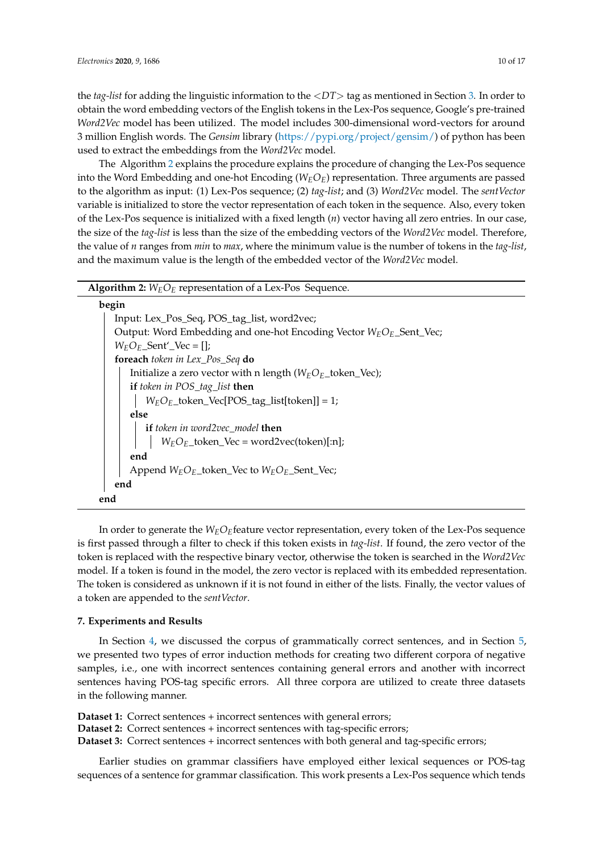the *tag-list* for adding the linguistic information to the <*DT*> tag as mentioned in Section [3.](#page-3-0) In order to obtain the word embedding vectors of the English tokens in the Lex-Pos sequence, Google's pre-trained *Word2Vec* model has been utilized. The model includes 300-dimensional word-vectors for around 3 million English words. The *Gensim* library [\(https://pypi.org/project/gensim/\)](https://pypi.org/project/gensim/) of python has been used to extract the embeddings from the *Word2Vec* model.

The Algorithm [2](#page-9-1) explains the procedure explains the procedure of changing the Lex-Pos sequence into the Word Embedding and one-hot Encoding (*WEOE*) representation. Three arguments are passed to the algorithm as input: (1) Lex-Pos sequence; (2) *tag-list*; and (3) *Word2Vec* model. The *sentVector* variable is initialized to store the vector representation of each token in the sequence. Also, every token of the Lex-Pos sequence is initialized with a fixed length (*n*) vector having all zero entries. In our case, the size of the *tag-list* is less than the size of the embedding vectors of the *Word2Vec* model. Therefore, the value of *n* ranges from *min* to *max*, where the minimum value is the number of tokens in the *tag-list*, and the maximum value is the length of the embedded vector of the *Word2Vec* model.

<span id="page-9-1"></span>**Algorithm 2:** *WEO<sup>E</sup>* representation of a Lex-Pos Sequence.

**begin**

| Input: Lex_Pos_Seq, POS_tag_list, word2vec;                             |
|-------------------------------------------------------------------------|
| Output: Word Embedding and one-hot Encoding Vector $W_EO_E$ Sent Vec;   |
| $W_EO_E$ _Sent'_Vec = [];                                               |
| foreach token in Lex_Pos_Seq do                                         |
| Initialize a zero vector with n length ( $W_EO_{E_{\perp}}$ token_Vec); |
| if token in POS_tag_list then                                           |
| $W_EO_E$ _token_Vec[POS_tag_list[token]] = 1;                           |
| else                                                                    |
| if token in word2vec_model then                                         |
| $W_{E}O_{E}$ _token_Vec = word2vec(token)[:n];                          |
| end                                                                     |
| Append $W_EO_E$ _token_Vec to $W_EO_E$ _Sent_Vec;                       |
| end                                                                     |
| end                                                                     |

In order to generate the *WEOE*feature vector representation, every token of the Lex-Pos sequence is first passed through a filter to check if this token exists in *tag-list*. If found, the zero vector of the token is replaced with the respective binary vector, otherwise the token is searched in the *Word2Vec* model. If a token is found in the model, the zero vector is replaced with its embedded representation. The token is considered as unknown if it is not found in either of the lists. Finally, the vector values of a token are appended to the *sentVector*.

## <span id="page-9-0"></span>**7. Experiments and Results**

In Section [4,](#page-6-0) we discussed the corpus of grammatically correct sentences, and in Section [5,](#page-6-1) we presented two types of error induction methods for creating two different corpora of negative samples, i.e., one with incorrect sentences containing general errors and another with incorrect sentences having POS-tag specific errors. All three corpora are utilized to create three datasets in the following manner.

**Dataset 1:** Correct sentences + incorrect sentences with general errors; **Dataset 2:** Correct sentences + incorrect sentences with tag-specific errors; **Dataset 3:** Correct sentences + incorrect sentences with both general and tag-specific errors;

Earlier studies on grammar classifiers have employed either lexical sequences or POS-tag sequences of a sentence for grammar classification. This work presents a Lex-Pos sequence which tends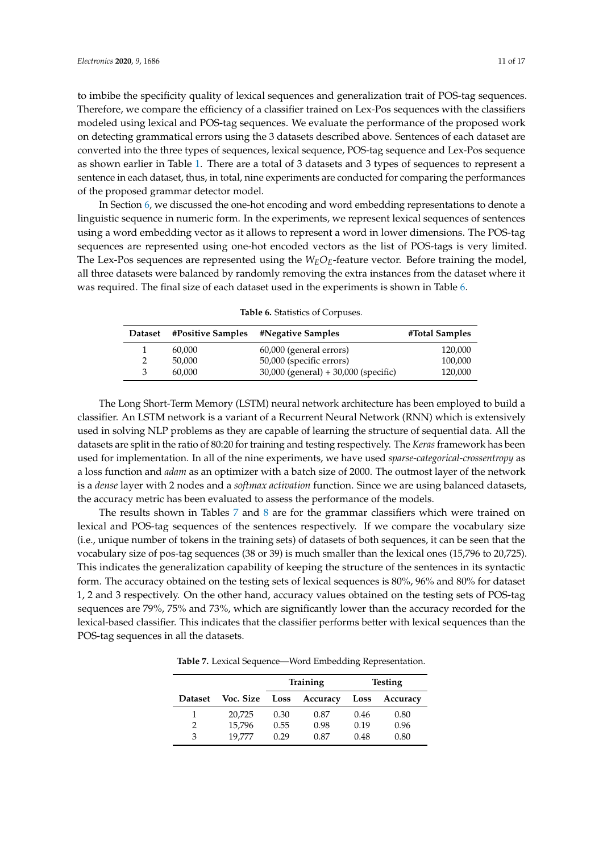to imbibe the specificity quality of lexical sequences and generalization trait of POS-tag sequences. Therefore, we compare the efficiency of a classifier trained on Lex-Pos sequences with the classifiers modeled using lexical and POS-tag sequences. We evaluate the performance of the proposed work on detecting grammatical errors using the 3 datasets described above. Sentences of each dataset are converted into the three types of sequences, lexical sequence, POS-tag sequence and Lex-Pos sequence as shown earlier in Table [1.](#page-5-0) There are a total of 3 datasets and 3 types of sequences to represent a sentence in each dataset, thus, in total, nine experiments are conducted for comparing the performances of the proposed grammar detector model.

In Section [6,](#page-8-0) we discussed the one-hot encoding and word embedding representations to denote a linguistic sequence in numeric form. In the experiments, we represent lexical sequences of sentences using a word embedding vector as it allows to represent a word in lower dimensions. The POS-tag sequences are represented using one-hot encoded vectors as the list of POS-tags is very limited. The Lex-Pos sequences are represented using the *WEOE*-feature vector. Before training the model, all three datasets were balanced by randomly removing the extra instances from the dataset where it was required. The final size of each dataset used in the experiments is shown in Table [6.](#page-10-0)

<span id="page-10-0"></span>

| <b>Dataset</b> | <b>#Positive Samples</b> | <b>#Negative Samples</b>             | #Total Samples |
|----------------|--------------------------|--------------------------------------|----------------|
|                | 60,000                   | 60,000 (general errors)              | 120,000        |
|                | 50,000                   | 50,000 (specific errors)             | 100,000        |
| 3              | 60,000                   | 30,000 (general) + 30,000 (specific) | 120,000        |

**Table 6.** Statistics of Corpuses.

The Long Short-Term Memory (LSTM) neural network architecture has been employed to build a classifier. An LSTM network is a variant of a Recurrent Neural Network (RNN) which is extensively used in solving NLP problems as they are capable of learning the structure of sequential data. All the datasets are split in the ratio of 80:20 for training and testing respectively. The *Keras* framework has been used for implementation. In all of the nine experiments, we have used *sparse-categorical-crossentropy* as a loss function and *adam* as an optimizer with a batch size of 2000. The outmost layer of the network is a *dense* layer with 2 nodes and a *softmax activation* function. Since we are using balanced datasets, the accuracy metric has been evaluated to assess the performance of the models.

The results shown in Tables  $7$  and  $8$  are for the grammar classifiers which were trained on lexical and POS-tag sequences of the sentences respectively. If we compare the vocabulary size (i.e., unique number of tokens in the training sets) of datasets of both sequences, it can be seen that the vocabulary size of pos-tag sequences (38 or 39) is much smaller than the lexical ones (15,796 to 20,725). This indicates the generalization capability of keeping the structure of the sentences in its syntactic form. The accuracy obtained on the testing sets of lexical sequences is 80%, 96% and 80% for dataset 1, 2 and 3 respectively. On the other hand, accuracy values obtained on the testing sets of POS-tag sequences are 79%, 75% and 73%, which are significantly lower than the accuracy recorded for the lexical-based classifier. This indicates that the classifier performs better with lexical sequences than the POS-tag sequences in all the datasets.

**Table 7.** Lexical Sequence—Word Embedding Representation.

<span id="page-10-1"></span>

|                |           | <b>Training</b> |          |      | <b>Testing</b> |
|----------------|-----------|-----------------|----------|------|----------------|
| <b>Dataset</b> | Voc. Size | Loss            | Accuracy | Loss | Accuracy       |
| 1              | 20,725    | 0.30            | 0.87     | 0.46 | 0.80           |
| 2              | 15,796    | 0.55            | 0.98     | 0.19 | 0.96           |
| 3              | 19.777    | 0.29            | 0.87     | 0.48 | 0.80           |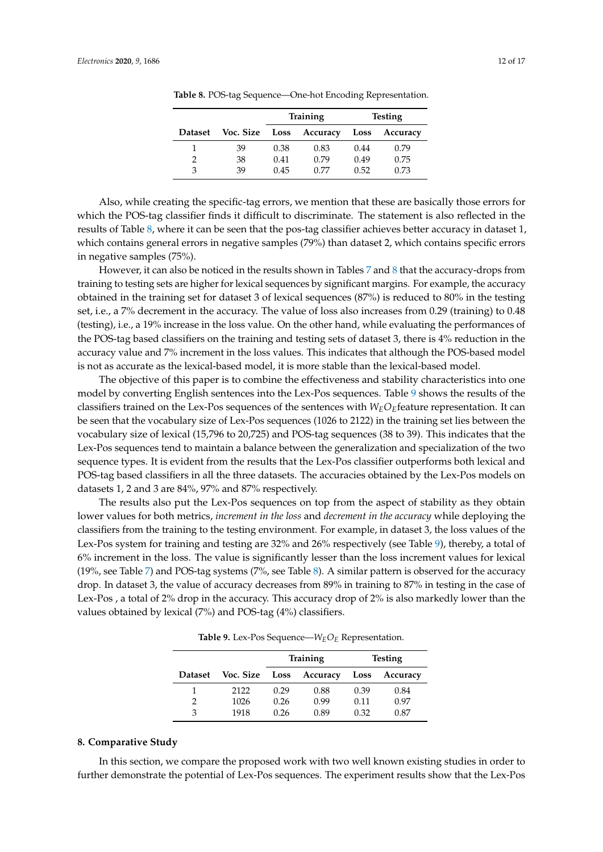|                |           | <b>Training</b> |          |      | <b>Testing</b> |
|----------------|-----------|-----------------|----------|------|----------------|
| <b>Dataset</b> | Voc. Size | Loss            | Accuracy | Loss | Accuracy       |
|                | 39        | 0.38            | 0.83     | 0.44 | 0.79           |
| $\mathcal{L}$  | 38        | 0.41            | 0.79     | 0.49 | 0.75           |
| 3              | 39        | 0.45            | 0.77     | 0.52 | 0.73           |

<span id="page-11-1"></span>**Table 8.** POS-tag Sequence—One-hot Encoding Representation.

Also, while creating the specific-tag errors, we mention that these are basically those errors for which the POS-tag classifier finds it difficult to discriminate. The statement is also reflected in the results of Table [8,](#page-11-1) where it can be seen that the pos-tag classifier achieves better accuracy in dataset 1, which contains general errors in negative samples (79%) than dataset 2, which contains specific errors in negative samples (75%).

However, it can also be noticed in the results shown in Tables [7](#page-10-1) and [8](#page-11-1) that the accuracy-drops from training to testing sets are higher for lexical sequences by significant margins. For example, the accuracy obtained in the training set for dataset 3 of lexical sequences (87%) is reduced to 80% in the testing set, i.e., a 7% decrement in the accuracy. The value of loss also increases from 0.29 (training) to 0.48 (testing), i.e., a 19% increase in the loss value. On the other hand, while evaluating the performances of the POS-tag based classifiers on the training and testing sets of dataset 3, there is 4% reduction in the accuracy value and 7% increment in the loss values. This indicates that although the POS-based model is not as accurate as the lexical-based model, it is more stable than the lexical-based model.

The objective of this paper is to combine the effectiveness and stability characteristics into one model by converting English sentences into the Lex-Pos sequences. Table [9](#page-11-2) shows the results of the classifiers trained on the Lex-Pos sequences of the sentences with *WEOE*feature representation. It can be seen that the vocabulary size of Lex-Pos sequences (1026 to 2122) in the training set lies between the vocabulary size of lexical (15,796 to 20,725) and POS-tag sequences (38 to 39). This indicates that the Lex-Pos sequences tend to maintain a balance between the generalization and specialization of the two sequence types. It is evident from the results that the Lex-Pos classifier outperforms both lexical and POS-tag based classifiers in all the three datasets. The accuracies obtained by the Lex-Pos models on datasets 1, 2 and 3 are 84%, 97% and 87% respectively.

The results also put the Lex-Pos sequences on top from the aspect of stability as they obtain lower values for both metrics, *increment in the loss* and *decrement in the accuracy* while deploying the classifiers from the training to the testing environment. For example, in dataset 3, the loss values of the Lex-Pos system for training and testing are 32% and 26% respectively (see Table [9\)](#page-11-2), thereby, a total of 6% increment in the loss. The value is significantly lesser than the loss increment values for lexical (19%, see Table [7\)](#page-10-1) and POS-tag systems (7%, see Table [8\)](#page-11-1). A similar pattern is observed for the accuracy drop. In dataset 3, the value of accuracy decreases from 89% in training to 87% in testing in the case of Lex-Pos , a total of 2% drop in the accuracy. This accuracy drop of 2% is also markedly lower than the values obtained by lexical (7%) and POS-tag (4%) classifiers.

**Table 9.** Lex-Pos Sequence—*WEO<sup>E</sup>* Representation.

<span id="page-11-2"></span>

|                |           | <b>Training</b> |          |      | <b>Testing</b> |
|----------------|-----------|-----------------|----------|------|----------------|
| <b>Dataset</b> | Voc. Size | Loss            | Accuracy | Loss | Accuracy       |
|                | 2122      | 0.29            | 0.88     | 0.39 | 0.84           |
|                | 1026      | 0.26            | 0.99     | 0.11 | 0.97           |
| 3              | 1918      | 0.26            | 0.89     | 0.32 | 0.87           |

## <span id="page-11-0"></span>**8. Comparative Study**

In this section, we compare the proposed work with two well known existing studies in order to further demonstrate the potential of Lex-Pos sequences. The experiment results show that the Lex-Pos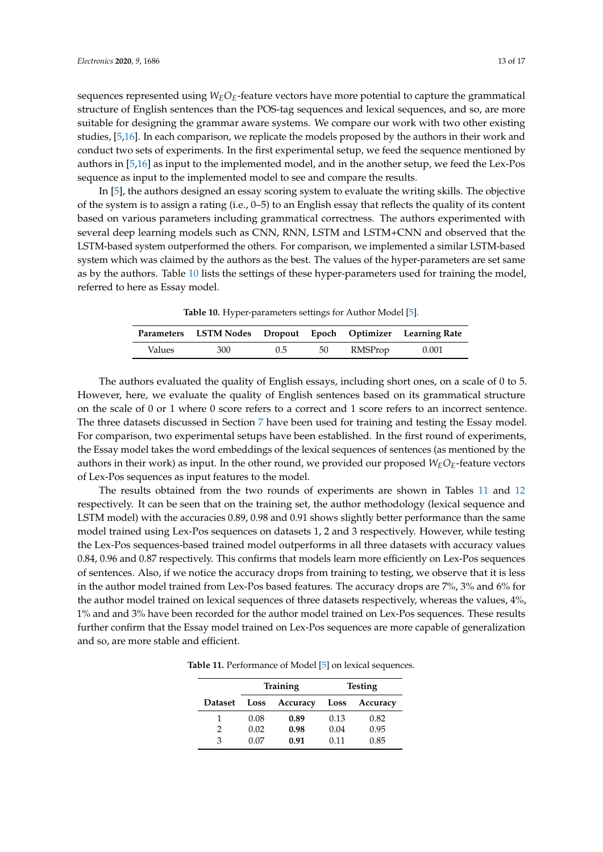sequences represented using  $W_EO_E$ -feature vectors have more potential to capture the grammatical structure of English sentences than the POS-tag sequences and lexical sequences, and so, are more suitable for designing the grammar aware systems. We compare our work with two other existing studies, [\[5](#page-16-0)[,16\]](#page-16-11). In each comparison, we replicate the models proposed by the authors in their work and conduct two sets of experiments. In the first experimental setup, we feed the sequence mentioned by authors in [\[5,](#page-16-0)[16\]](#page-16-11) as input to the implemented model, and in the another setup, we feed the Lex-Pos sequence as input to the implemented model to see and compare the results.

In [\[5\]](#page-16-0), the authors designed an essay scoring system to evaluate the writing skills. The objective of the system is to assign a rating (i.e., 0–5) to an English essay that reflects the quality of its content based on various parameters including grammatical correctness. The authors experimented with several deep learning models such as CNN, RNN, LSTM and LSTM+CNN and observed that the LSTM-based system outperformed the others. For comparison, we implemented a similar LSTM-based system which was claimed by the authors as the best. The values of the hyper-parameters are set same as by the authors. Table [10](#page-12-0) lists the settings of these hyper-parameters used for training the model, referred to here as Essay model.

**Table 10.** Hyper-parameters settings for Author Model [\[5\]](#page-16-0).

<span id="page-12-0"></span>

|        | Parameters LSTM Nodes Dropout Epoch Optimizer Learning Rate |     |    |         |       |
|--------|-------------------------------------------------------------|-----|----|---------|-------|
| Values | 300 ·                                                       | 0.5 | 50 | RMSProp | 0.001 |

The authors evaluated the quality of English essays, including short ones, on a scale of 0 to 5. However, here, we evaluate the quality of English sentences based on its grammatical structure on the scale of 0 or 1 where 0 score refers to a correct and 1 score refers to an incorrect sentence. The three datasets discussed in Section [7](#page-9-0) have been used for training and testing the Essay model. For comparison, two experimental setups have been established. In the first round of experiments, the Essay model takes the word embeddings of the lexical sequences of sentences (as mentioned by the authors in their work) as input. In the other round, we provided our proposed  $W_EO_E$ -feature vectors of Lex-Pos sequences as input features to the model.

The results obtained from the two rounds of experiments are shown in Tables [11](#page-12-1) and [12](#page-13-0) respectively. It can be seen that on the training set, the author methodology (lexical sequence and LSTM model) with the accuracies 0.89, 0.98 and 0.91 shows slightly better performance than the same model trained using Lex-Pos sequences on datasets 1, 2 and 3 respectively. However, while testing the Lex-Pos sequences-based trained model outperforms in all three datasets with accuracy values 0.84, 0.96 and 0.87 respectively. This confirms that models learn more efficiently on Lex-Pos sequences of sentences. Also, if we notice the accuracy drops from training to testing, we observe that it is less in the author model trained from Lex-Pos based features. The accuracy drops are 7%, 3% and 6% for the author model trained on lexical sequences of three datasets respectively, whereas the values, 4%, 1% and and 3% have been recorded for the author model trained on Lex-Pos sequences. These results further confirm that the Essay model trained on Lex-Pos sequences are more capable of generalization and so, are more stable and efficient.

|                | <b>Training</b> |          | <b>Testing</b> |          |  |
|----------------|-----------------|----------|----------------|----------|--|
| <b>Dataset</b> | Loss            | Accuracy | Loss           | Accuracy |  |
|                | 0.08            | 0.89     | 0.13           | 0.82     |  |
| 2              | 0.02            | 0.98     | 0.04           | 0.95     |  |
| 3              | 0.07            | 0.91     | 0.11           | 0.85     |  |

<span id="page-12-1"></span>**Table 11.** Performance of Model [\[5\]](#page-16-0) on lexical sequences.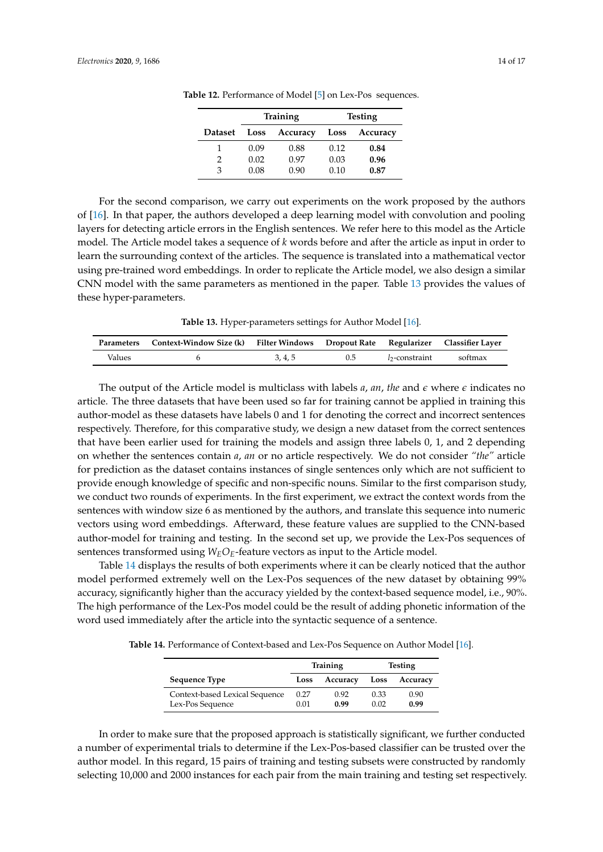|                | Training |          | <b>Testing</b> |          |  |
|----------------|----------|----------|----------------|----------|--|
| <b>Dataset</b> | Loss     | Accuracy | Loss           | Accuracy |  |
|                | 0.09     | 0.88     | 0.12           | 0.84     |  |
| $\mathcal{L}$  | 0.02     | 0.97     | 0.03           | 0.96     |  |
| 3              | 0.08     | 0.90     | 0.10           | 0.87     |  |

<span id="page-13-0"></span>**Table 12.** Performance of Model [\[5\]](#page-16-0) on Lex-Pos sequences.

For the second comparison, we carry out experiments on the work proposed by the authors of [\[16\]](#page-16-11). In that paper, the authors developed a deep learning model with convolution and pooling layers for detecting article errors in the English sentences. We refer here to this model as the Article model. The Article model takes a sequence of *k* words before and after the article as input in order to learn the surrounding context of the articles. The sequence is translated into a mathematical vector using pre-trained word embeddings. In order to replicate the Article model, we also design a similar CNN model with the same parameters as mentioned in the paper. Table [13](#page-13-1) provides the values of these hyper-parameters.

**Table 13.** Hyper-parameters settings for Author Model [\[16\]](#page-16-11).

<span id="page-13-1"></span>

|        | Parameters Context-Window Size (k) Filter Windows Dropout Rate Regularizer Classifier Layer |       |     |                            |         |
|--------|---------------------------------------------------------------------------------------------|-------|-----|----------------------------|---------|
| Values |                                                                                             | 3.4.5 | 0.5 | l <sub>2</sub> -constraint | softmax |

The output of the Article model is multiclass with labels *a*, *an*, *the* and  $\epsilon$  where  $\epsilon$  indicates no article. The three datasets that have been used so far for training cannot be applied in training this author-model as these datasets have labels 0 and 1 for denoting the correct and incorrect sentences respectively. Therefore, for this comparative study, we design a new dataset from the correct sentences that have been earlier used for training the models and assign three labels 0, 1, and 2 depending on whether the sentences contain *a*, *an* or no article respectively. We do not consider *"the"* article for prediction as the dataset contains instances of single sentences only which are not sufficient to provide enough knowledge of specific and non-specific nouns. Similar to the first comparison study, we conduct two rounds of experiments. In the first experiment, we extract the context words from the sentences with window size 6 as mentioned by the authors, and translate this sequence into numeric vectors using word embeddings. Afterward, these feature values are supplied to the CNN-based author-model for training and testing. In the second set up, we provide the Lex-Pos sequences of sentences transformed using  $W_EO_E$ -feature vectors as input to the Article model.

Table [14](#page-13-2) displays the results of both experiments where it can be clearly noticed that the author model performed extremely well on the Lex-Pos sequences of the new dataset by obtaining 99% accuracy, significantly higher than the accuracy yielded by the context-based sequence model, i.e., 90%. The high performance of the Lex-Pos model could be the result of adding phonetic information of the word used immediately after the article into the syntactic sequence of a sentence.

<span id="page-13-2"></span>**Table 14.** Performance of Context-based and Lex-Pos Sequence on Author Model [\[16\]](#page-16-11).

|                                | <b>Training</b> |          | <b>Testing</b> |          |
|--------------------------------|-----------------|----------|----------------|----------|
| <b>Sequence Type</b>           | Loss            | Accuracy | Loss           | Accuracy |
| Context-based Lexical Sequence | 0.27            | 0.92     | 0.33           | 0.90     |
| Lex-Pos Sequence               | 0.01            | 0.99     | 0.02           | 0.99     |

In order to make sure that the proposed approach is statistically significant, we further conducted a number of experimental trials to determine if the Lex-Pos-based classifier can be trusted over the author model. In this regard, 15 pairs of training and testing subsets were constructed by randomly selecting 10,000 and 2000 instances for each pair from the main training and testing set respectively.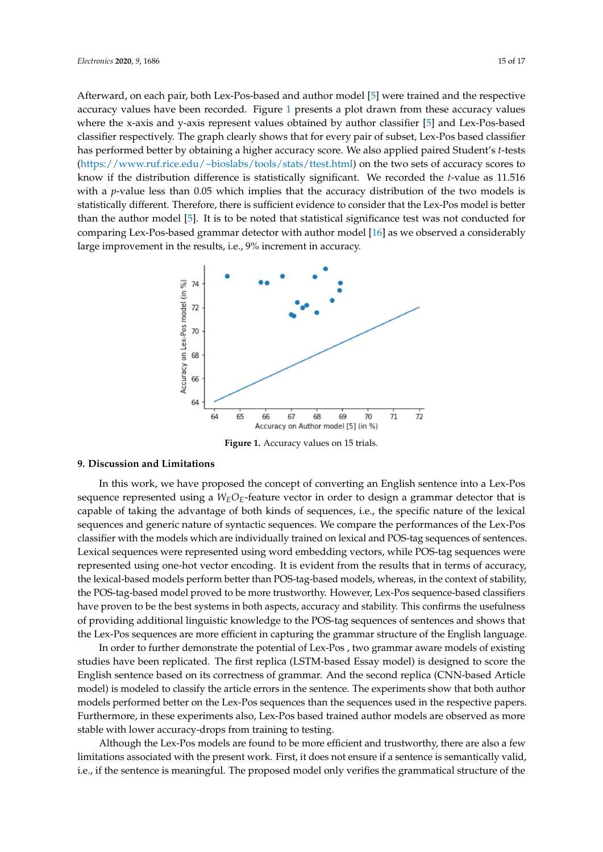Afterward, on each pair, both Lex-Pos-based and author model [\[5\]](#page-16-0) were trained and the respective accuracy values have been recorded. Figure [1](#page-14-1) presents a plot drawn from these accuracy values where the x-axis and y-axis represent values obtained by author classifier [\[5\]](#page-16-0) and Lex-Pos-based classifier respectively. The graph clearly shows that for every pair of subset, Lex-Pos based classifier has performed better by obtaining a higher accuracy score. We also applied paired Student's *t*-tests [\(https://www.ruf.rice.edu/~bioslabs/tools/stats/ttest.html\)](https://www.ruf.rice.edu/~bioslabs/tools/stats/ttest.html) on the two sets of accuracy scores to know if the distribution difference is statistically significant. We recorded the *t*-value as 11.516 with a *p*-value less than 0.05 which implies that the accuracy distribution of the two models is statistically different. Therefore, there is sufficient evidence to consider that the Lex-Pos model is better than the author model [\[5\]](#page-16-0). It is to be noted that statistical significance test was not conducted for comparing Lex-Pos-based grammar detector with author model [\[16\]](#page-16-11) as we observed a considerably large improvement in the results, i.e., 9% increment in accuracy.

<span id="page-14-1"></span>

**Figure 1.** Accuracy values on 15 trials.

# <span id="page-14-0"></span>**9. Discussion and Limitations**

In this work, we have proposed the concept of converting an English sentence into a Lex-Pos sequence represented using a  $W_EO_E$ -feature vector in order to design a grammar detector that is capable of taking the advantage of both kinds of sequences, i.e., the specific nature of the lexical sequences and generic nature of syntactic sequences. We compare the performances of the Lex-Pos classifier with the models which are individually trained on lexical and POS-tag sequences of sentences. Lexical sequences were represented using word embedding vectors, while POS-tag sequences were represented using one-hot vector encoding. It is evident from the results that in terms of accuracy, the lexical-based models perform better than POS-tag-based models, whereas, in the context of stability, the POS-tag-based model proved to be more trustworthy. However, Lex-Pos sequence-based classifiers have proven to be the best systems in both aspects, accuracy and stability. This confirms the usefulness of providing additional linguistic knowledge to the POS-tag sequences of sentences and shows that the Lex-Pos sequences are more efficient in capturing the grammar structure of the English language.

In order to further demonstrate the potential of Lex-Pos , two grammar aware models of existing studies have been replicated. The first replica (LSTM-based Essay model) is designed to score the English sentence based on its correctness of grammar. And the second replica (CNN-based Article model) is modeled to classify the article errors in the sentence. The experiments show that both author models performed better on the Lex-Pos sequences than the sequences used in the respective papers. Furthermore, in these experiments also, Lex-Pos based trained author models are observed as more stable with lower accuracy-drops from training to testing.

Although the Lex-Pos models are found to be more efficient and trustworthy, there are also a few limitations associated with the present work. First, it does not ensure if a sentence is semantically valid, i.e., if the sentence is meaningful. The proposed model only verifies the grammatical structure of the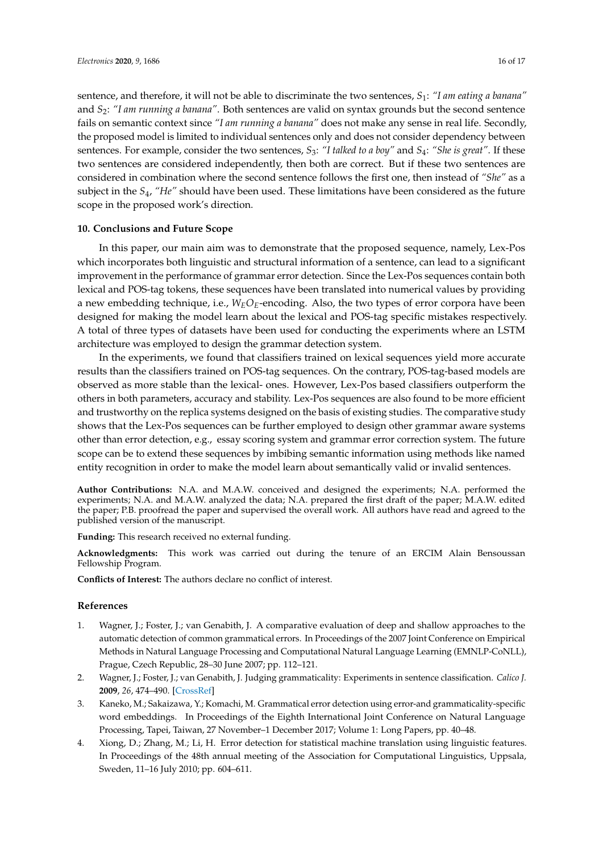sentence, and therefore, it will not be able to discriminate the two sentences, *S*1: *"I am eating a banana"* and *S*2: *"I am running a banana"*. Both sentences are valid on syntax grounds but the second sentence fails on semantic context since *"I am running a banana"* does not make any sense in real life. Secondly, the proposed model is limited to individual sentences only and does not consider dependency between sentences. For example, consider the two sentences, *S*3: *"I talked to a boy"* and *S*4: *"She is great"*. If these two sentences are considered independently, then both are correct. But if these two sentences are considered in combination where the second sentence follows the first one, then instead of *"She"* as a subject in the *S*4, *"He"* should have been used. These limitations have been considered as the future scope in the proposed work's direction.

## <span id="page-15-4"></span>**10. Conclusions and Future Scope**

In this paper, our main aim was to demonstrate that the proposed sequence, namely, Lex-Pos which incorporates both linguistic and structural information of a sentence, can lead to a significant improvement in the performance of grammar error detection. Since the Lex-Pos sequences contain both lexical and POS-tag tokens, these sequences have been translated into numerical values by providing a new embedding technique, i.e., *WEOE*-encoding. Also, the two types of error corpora have been designed for making the model learn about the lexical and POS-tag specific mistakes respectively. A total of three types of datasets have been used for conducting the experiments where an LSTM architecture was employed to design the grammar detection system.

In the experiments, we found that classifiers trained on lexical sequences yield more accurate results than the classifiers trained on POS-tag sequences. On the contrary, POS-tag-based models are observed as more stable than the lexical- ones. However, Lex-Pos based classifiers outperform the others in both parameters, accuracy and stability. Lex-Pos sequences are also found to be more efficient and trustworthy on the replica systems designed on the basis of existing studies. The comparative study shows that the Lex-Pos sequences can be further employed to design other grammar aware systems other than error detection, e.g., essay scoring system and grammar error correction system. The future scope can be to extend these sequences by imbibing semantic information using methods like named entity recognition in order to make the model learn about semantically valid or invalid sentences.

**Author Contributions:** N.A. and M.A.W. conceived and designed the experiments; N.A. performed the experiments; N.A. and M.A.W. analyzed the data; N.A. prepared the first draft of the paper; M.A.W. edited the paper; P.B. proofread the paper and supervised the overall work. All authors have read and agreed to the published version of the manuscript.

**Funding:** This research received no external funding.

**Acknowledgments:** This work was carried out during the tenure of an ERCIM Alain Bensoussan Fellowship Program.

**Conflicts of Interest:** The authors declare no conflict of interest.

## **References**

- <span id="page-15-0"></span>1. Wagner, J.; Foster, J.; van Genabith, J. A comparative evaluation of deep and shallow approaches to the automatic detection of common grammatical errors. In Proceedings of the 2007 Joint Conference on Empirical Methods in Natural Language Processing and Computational Natural Language Learning (EMNLP-CoNLL), Prague, Czech Republic, 28–30 June 2007; pp. 112–121.
- <span id="page-15-3"></span>2. Wagner, J.; Foster, J.; van Genabith, J. Judging grammaticality: Experiments in sentence classification. *Calico J.* **2009**, *26*, 474–490. [\[CrossRef\]](http://dx.doi.org/10.1558/cj.v26i3.474-490)
- <span id="page-15-2"></span>3. Kaneko, M.; Sakaizawa, Y.; Komachi, M. Grammatical error detection using error-and grammaticality-specific word embeddings. In Proceedings of the Eighth International Joint Conference on Natural Language Processing, Tapei, Taiwan, 27 November–1 December 2017; Volume 1: Long Papers, pp. 40–48.
- <span id="page-15-1"></span>4. Xiong, D.; Zhang, M.; Li, H. Error detection for statistical machine translation using linguistic features. In Proceedings of the 48th annual meeting of the Association for Computational Linguistics, Uppsala, Sweden, 11–16 July 2010; pp. 604–611.